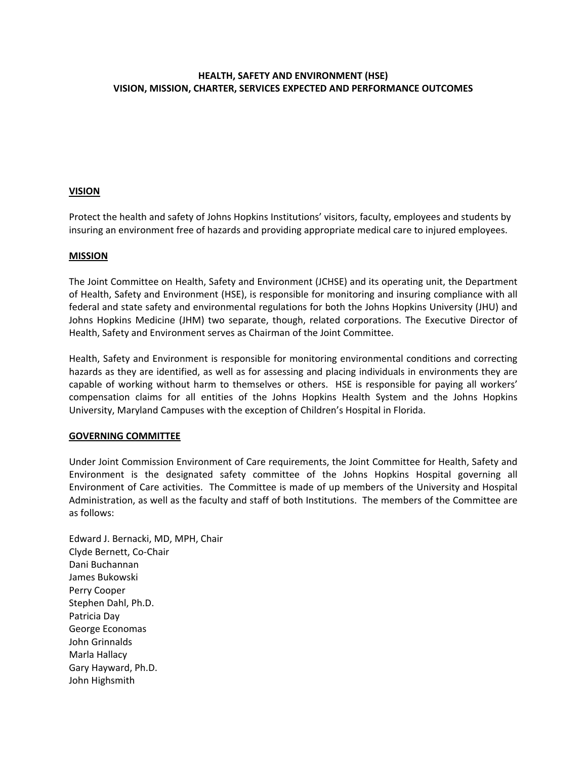# **HEALTH, SAFETY AND ENVIRONMENT (HSE) VISION, MISSION, CHARTER, SERVICES EXPECTED AND PERFORMANCE OUTCOMES**

## **VISION**

Protect the health and safety of Johns Hopkins Institutions' visitors, faculty, employees and students by insuring an environment free of hazards and providing appropriate medical care to injured employees.

### **MISSION**

The Joint Committee on Health, Safety and Environment (JCHSE) and its operating unit, the Department of Health, Safety and Environment (HSE), is responsible for monitoring and insuring compliance with all federal and state safety and environmental regulations for both the Johns Hopkins University (JHU) and Johns Hopkins Medicine (JHM) two separate, though, related corporations. The Executive Director of Health, Safety and Environment serves as Chairman of the Joint Committee.

Health, Safety and Environment is responsible for monitoring environmental conditions and correcting hazards as they are identified, as well as for assessing and placing individuals in environments they are capable of working without harm to themselves or others. HSE is responsible for paying all workers' compensation claims for all entities of the Johns Hopkins Health System and the Johns Hopkins University, Maryland Campuses with the exception of Children's Hospital in Florida.

### **GOVERNING COMMITTEE**

Under Joint Commission Environment of Care requirements, the Joint Committee for Health, Safety and Environment is the designated safety committee of the Johns Hopkins Hospital governing all Environment of Care activities. The Committee is made of up members of the University and Hospital Administration, as well as the faculty and staff of both Institutions. The members of the Committee are as follows:

Edward J. Bernacki, MD, MPH, Chair Clyde Bernett, Co‐Chair Dani Buchannan James Bukowski Perry Cooper Stephen Dahl, Ph.D. Patricia Day George Economas John Grinnalds Marla Hallacy Gary Hayward, Ph.D. John Highsmith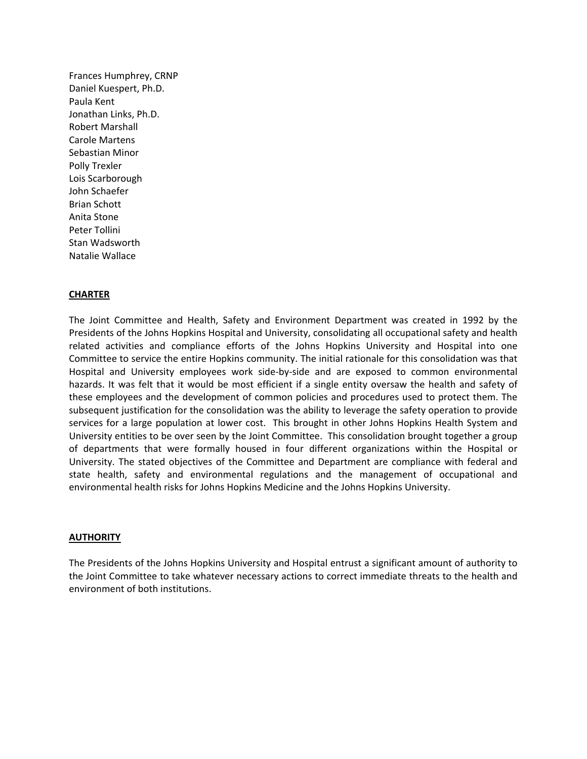Frances Humphrey, CRNP Daniel Kuespert, Ph.D. Paula Kent Jonathan Links, Ph.D. Robert Marshall Carole Martens Sebastian Minor Polly Trexler Lois Scarborough John Schaefer Brian Schott Anita Stone Peter Tollini Stan Wadsworth Natalie Wallace

#### **CHARTER**

The Joint Committee and Health, Safety and Environment Department was created in 1992 by the Presidents of the Johns Hopkins Hospital and University, consolidating all occupational safety and health related activities and compliance efforts of the Johns Hopkins University and Hospital into one Committee to service the entire Hopkins community. The initial rationale for this consolidation was that Hospital and University employees work side‐by‐side and are exposed to common environmental hazards. It was felt that it would be most efficient if a single entity oversaw the health and safety of these employees and the development of common policies and procedures used to protect them. The subsequent justification for the consolidation was the ability to leverage the safety operation to provide services for a large population at lower cost. This brought in other Johns Hopkins Health System and University entities to be over seen by the Joint Committee. This consolidation brought together a group of departments that were formally housed in four different organizations within the Hospital or University. The stated objectives of the Committee and Department are compliance with federal and state health, safety and environmental regulations and the management of occupational and environmental health risks for Johns Hopkins Medicine and the Johns Hopkins University.

#### **AUTHORITY**

The Presidents of the Johns Hopkins University and Hospital entrust a significant amount of authority to the Joint Committee to take whatever necessary actions to correct immediate threats to the health and environment of both institutions.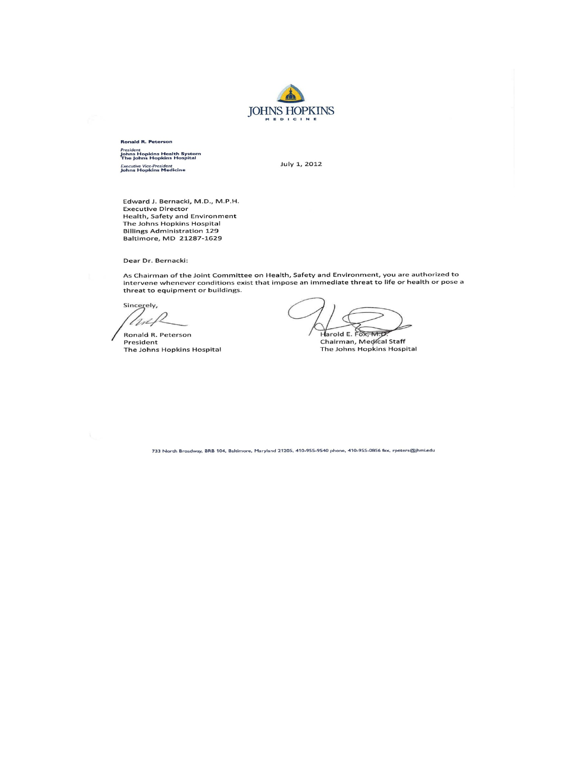

**Ronald R. Peterson** <sup>President</sup><br>Johns Hopkins Health System<br>The Johns Hopkins Hospital Executive Vice-President<br>Johns Hopkins Medicine

July 1, 2012

Edward J. Bernacki, M.D., M.P.H. Executive Director Health, Safety and Environment The Johns Hopkins Hospital **Billings Administration 129** Baltimore, MD 21287-1629

Dear Dr. Bernacki:

As Chairman of the Joint Committee on Health, Safety and Environment, you are authorized to<br>intervene whenever conditions exist that impose an immediate threat to life or health or pose a threat to equipment or buildings.

Sincerely,  $ln4$ 

Ronald R. Peterson President The Johns Hopkins Hospital

Harold E. Fox, M.D

Chairman, Medical Staff The Johns Hopkins Hospital

733 North Broadway, BRB 104, Baltimore, Maryland 21205, 410-955-9540 phone, 410-955-0856 fax, rpeters@jhmi.edu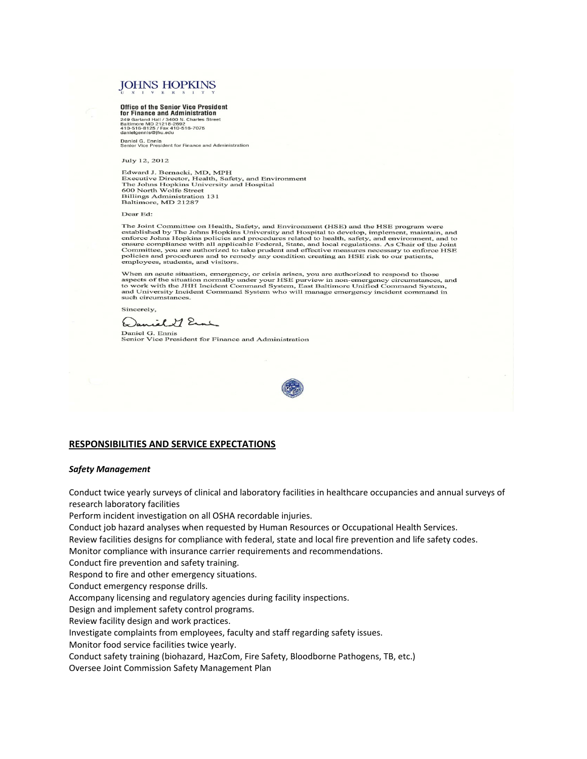# **JOHNS HOPKINS**

#### **Office of the Senior Vice President**

For Finance and Administration<br>249 Garland Hall / 3400 N. Charles Street<br>810 Times (21218-2692)<br>410-516-8125 / Fax 410-516-7075<br>danielgennis@jhu.edu

Daniel G. Ennis<br>Senior Vice President for Finance and Administration

July 12, 2012

Edward J. Bernacki, MD, MPH Eaward J. Bernacki, WD, NirH<br>Executive Director, Health, Safety, and Environment<br>The Johns Hopkins University and Hospital<br>600 North Wolfe Street **Billings Administration 131** Baltimore, MD 21287

#### Dear Ed:

The Joint Committee on Health, Safety, and Environment (HSE) and the HSE program were The Journalite on Health, Safety, and Environment (HSE) and the HSE program were<br>established by The Johns Hopkins University and Hospital to develop, implement, maintain, and<br>enforce Johns Hopkins policies and procedures r

When an acute situation, emergency, or crisis arises, you are authorized to respond to those where an assects of the situation normally under your HSE purview in non-emergency circumstances, and<br>to work with the JHH Incident Command System, East Baltimore Unified Command System,<br>and University Incident Command Sys such circumstances.

Sincerely,

Daniel 27 Erne

Daniel G. Ennis<br>Senior Vice President for Finance and Administration



#### **RESPONSIBILITIES AND SERVICE EXPECTATIONS**

#### *Safety Management*

Conduct twice yearly surveys of clinical and laboratory facilities in healthcare occupancies and annual surveys of research laboratory facilities

Perform incident investigation on all OSHA recordable injuries.

Conduct job hazard analyses when requested by Human Resources or Occupational Health Services.

Review facilities designs for compliance with federal, state and local fire prevention and life safety codes.

Monitor compliance with insurance carrier requirements and recommendations.

Conduct fire prevention and safety training.

Respond to fire and other emergency situations.

Conduct emergency response drills.

Accompany licensing and regulatory agencies during facility inspections.

Design and implement safety control programs.

Review facility design and work practices.

Investigate complaints from employees, faculty and staff regarding safety issues.

Monitor food service facilities twice yearly.

Conduct safety training (biohazard, HazCom, Fire Safety, Bloodborne Pathogens, TB, etc.)

Oversee Joint Commission Safety Management Plan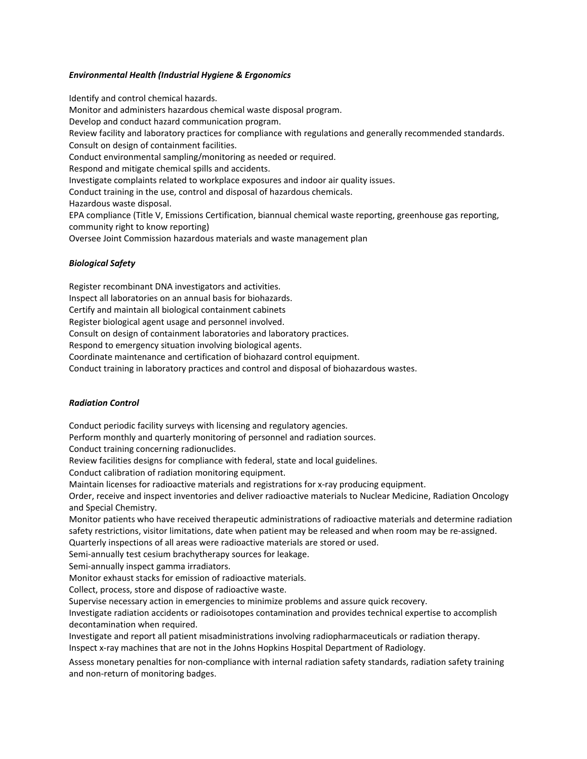#### *Environmental Health (Industrial Hygiene & Ergonomics*

Identify and control chemical hazards. Monitor and administers hazardous chemical waste disposal program. Develop and conduct hazard communication program. Review facility and laboratory practices for compliance with regulations and generally recommended standards. Consult on design of containment facilities. Conduct environmental sampling/monitoring as needed or required. Respond and mitigate chemical spills and accidents. Investigate complaints related to workplace exposures and indoor air quality issues. Conduct training in the use, control and disposal of hazardous chemicals. Hazardous waste disposal. EPA compliance (Title V, Emissions Certification, biannual chemical waste reporting, greenhouse gas reporting, community right to know reporting) Oversee Joint Commission hazardous materials and waste management plan

#### *Biological Safety*

Register recombinant DNA investigators and activities. Inspect all laboratories on an annual basis for biohazards. Certify and maintain all biological containment cabinets Register biological agent usage and personnel involved. Consult on design of containment laboratories and laboratory practices. Respond to emergency situation involving biological agents. Coordinate maintenance and certification of biohazard control equipment. Conduct training in laboratory practices and control and disposal of biohazardous wastes.

#### *Radiation Control*

Conduct periodic facility surveys with licensing and regulatory agencies.

Perform monthly and quarterly monitoring of personnel and radiation sources.

Conduct training concerning radionuclides.

Review facilities designs for compliance with federal, state and local guidelines.

Conduct calibration of radiation monitoring equipment.

Maintain licenses for radioactive materials and registrations for x‐ray producing equipment.

Order, receive and inspect inventories and deliver radioactive materials to Nuclear Medicine, Radiation Oncology and Special Chemistry.

Monitor patients who have received therapeutic administrations of radioactive materials and determine radiation safety restrictions, visitor limitations, date when patient may be released and when room may be re‐assigned.

Quarterly inspections of all areas were radioactive materials are stored or used.

Semi-annually test cesium brachytherapy sources for leakage.

Semi‐annually inspect gamma irradiators.

Monitor exhaust stacks for emission of radioactive materials.

Collect, process, store and dispose of radioactive waste.

Supervise necessary action in emergencies to minimize problems and assure quick recovery.

Investigate radiation accidents or radioisotopes contamination and provides technical expertise to accomplish decontamination when required.

Investigate and report all patient misadministrations involving radiopharmaceuticals or radiation therapy. Inspect x‐ray machines that are not in the Johns Hopkins Hospital Department of Radiology.

Assess monetary penalties for non‐compliance with internal radiation safety standards, radiation safety training and non‐return of monitoring badges.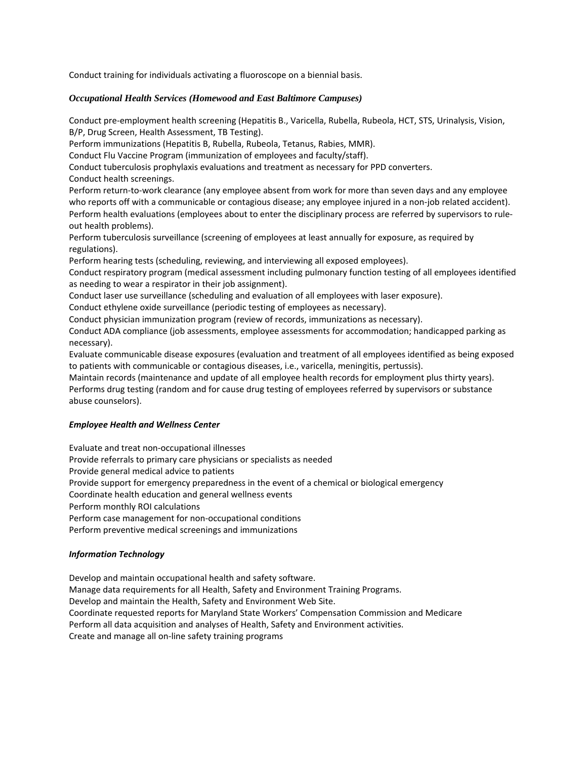Conduct training for individuals activating a fluoroscope on a biennial basis.

### *Occupational Health Services (Homewood and East Baltimore Campuses)*

Conduct pre‐employment health screening (Hepatitis B., Varicella, Rubella, Rubeola, HCT, STS, Urinalysis, Vision, B/P, Drug Screen, Health Assessment, TB Testing).

Perform immunizations (Hepatitis B, Rubella, Rubeola, Tetanus, Rabies, MMR).

Conduct Flu Vaccine Program (immunization of employees and faculty/staff).

Conduct tuberculosis prophylaxis evaluations and treatment as necessary for PPD converters.

Conduct health screenings.

Perform return‐to‐work clearance (any employee absent from work for more than seven days and any employee who reports off with a communicable or contagious disease; any employee injured in a non-job related accident). Perform health evaluations (employees about to enter the disciplinary process are referred by supervisors to rule‐ out health problems).

Perform tuberculosis surveillance (screening of employees at least annually for exposure, as required by regulations).

Perform hearing tests (scheduling, reviewing, and interviewing all exposed employees).

Conduct respiratory program (medical assessment including pulmonary function testing of all employees identified as needing to wear a respirator in their job assignment).

Conduct laser use surveillance (scheduling and evaluation of all employees with laser exposure).

Conduct ethylene oxide surveillance (periodic testing of employees as necessary).

Conduct physician immunization program (review of records, immunizations as necessary).

Conduct ADA compliance (job assessments, employee assessments for accommodation; handicapped parking as necessary).

Evaluate communicable disease exposures (evaluation and treatment of all employees identified as being exposed to patients with communicable or contagious diseases, i.e., varicella, meningitis, pertussis).

Maintain records (maintenance and update of all employee health records for employment plus thirty years). Performs drug testing (random and for cause drug testing of employees referred by supervisors or substance abuse counselors).

### *Employee Health and Wellness Center*

Evaluate and treat non‐occupational illnesses

Provide referrals to primary care physicians or specialists as needed

Provide general medical advice to patients

Provide support for emergency preparedness in the event of a chemical or biological emergency

Coordinate health education and general wellness events

Perform monthly ROI calculations

Perform case management for non‐occupational conditions

Perform preventive medical screenings and immunizations

# *Information Technology*

Develop and maintain occupational health and safety software. Manage data requirements for all Health, Safety and Environment Training Programs. Develop and maintain the Health, Safety and Environment Web Site. Coordinate requested reports for Maryland State Workers' Compensation Commission and Medicare Perform all data acquisition and analyses of Health, Safety and Environment activities. Create and manage all on‐line safety training programs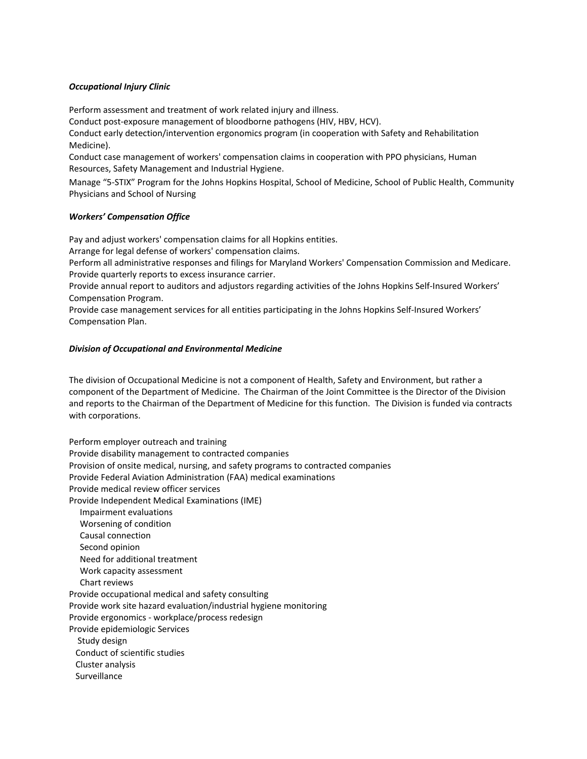#### *Occupational Injury Clinic*

Perform assessment and treatment of work related injury and illness.

Conduct post‐exposure management of bloodborne pathogens (HIV, HBV, HCV).

Conduct early detection/intervention ergonomics program (in cooperation with Safety and Rehabilitation Medicine).

Conduct case management of workers' compensation claims in cooperation with PPO physicians, Human Resources, Safety Management and Industrial Hygiene.

Manage "5‐STIX" Program for the Johns Hopkins Hospital, School of Medicine, School of Public Health, Community Physicians and School of Nursing

#### *Workers' Compensation Office*

Pay and adjust workers' compensation claims for all Hopkins entities.

Arrange for legal defense of workers' compensation claims.

Perform all administrative responses and filings for Maryland Workers' Compensation Commission and Medicare. Provide quarterly reports to excess insurance carrier.

Provide annual report to auditors and adjustors regarding activities of the Johns Hopkins Self‐Insured Workers' Compensation Program.

Provide case management services for all entities participating in the Johns Hopkins Self‐Insured Workers' Compensation Plan.

#### *Division of Occupational and Environmental Medicine*

The division of Occupational Medicine is not a component of Health, Safety and Environment, but rather a component of the Department of Medicine. The Chairman of the Joint Committee is the Director of the Division and reports to the Chairman of the Department of Medicine for this function. The Division is funded via contracts with corporations.

Perform employer outreach and training Provide disability management to contracted companies Provision of onsite medical, nursing, and safety programs to contracted companies Provide Federal Aviation Administration (FAA) medical examinations Provide medical review officer services Provide Independent Medical Examinations (IME) Impairment evaluations Worsening of condition Causal connection Second opinion Need for additional treatment Work capacity assessment Chart reviews Provide occupational medical and safety consulting Provide work site hazard evaluation/industrial hygiene monitoring Provide ergonomics ‐ workplace/process redesign Provide epidemiologic Services Study design Conduct of scientific studies Cluster analysis Surveillance